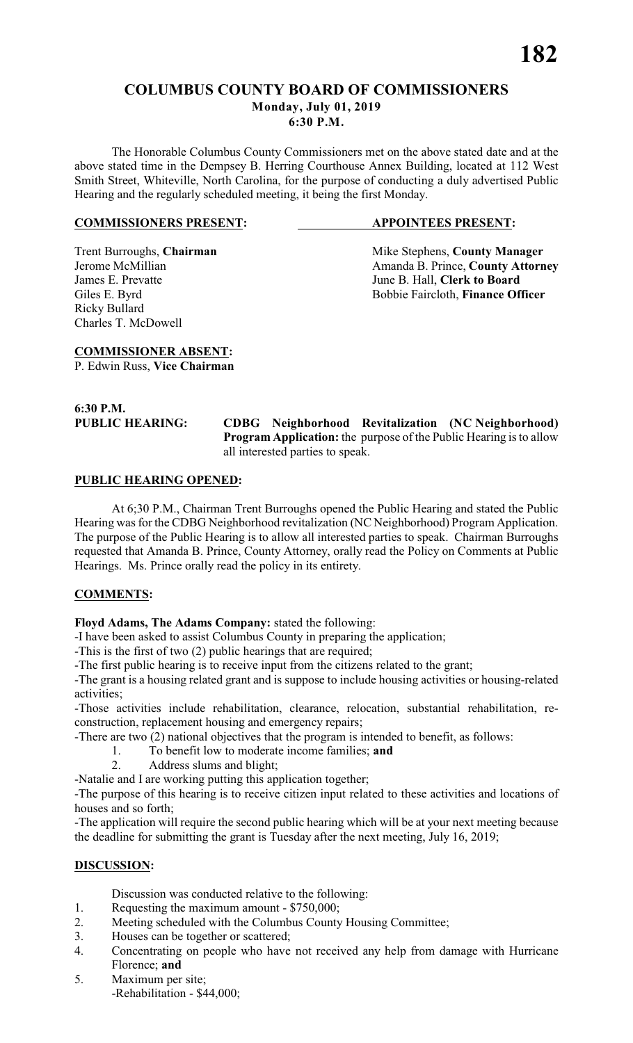# **COLUMBUS COUNTY BOARD OF COMMISSIONERS Monday, July 01, 2019**

**6:30 P.M.**

The Honorable Columbus County Commissioners met on the above stated date and at the above stated time in the Dempsey B. Herring Courthouse Annex Building, located at 112 West Smith Street, Whiteville, North Carolina, for the purpose of conducting a duly advertised Public Hearing and the regularly scheduled meeting, it being the first Monday.

#### **COMMISSIONERS PRESENT: APPOINTEES PRESENT:**

Ricky Bullard Charles T. McDowell

Trent Burroughs, **Chairman** Mike Stephens, **County Manager** *Jerome McMillian Amanda B. Prince*. **County Attorn** Amanda B. Prince, **County Attorney** James E. Prevatte June B. Hall, **Clerk to Board** Giles E. Byrd Bobbie Faircloth, **Finance Officer** 

**COMMISSIONER ABSENT:** P. Edwin Russ, **Vice Chairman**

**6:30 P.M.**

**PUBLIC HEARING: CDBG Neighborhood Revitalization (NC Neighborhood) Program Application:** the purpose of the Public Hearing is to allow all interested parties to speak.

# **PUBLIC HEARING OPENED:**

At 6;30 P.M., Chairman Trent Burroughs opened the Public Hearing and stated the Public Hearing was for the CDBG Neighborhood revitalization (NC Neighborhood) Program Application. The purpose of the Public Hearing is to allow all interested parties to speak. Chairman Burroughs requested that Amanda B. Prince, County Attorney, orally read the Policy on Comments at Public Hearings. Ms. Prince orally read the policy in its entirety.

# **COMMENTS:**

**Floyd Adams, The Adams Company:** stated the following:

-I have been asked to assist Columbus County in preparing the application;

-This is the first of two (2) public hearings that are required;

-The first public hearing is to receive input from the citizens related to the grant;

-The grant is a housing related grant and is suppose to include housing activities or housing-related activities;

-Those activities include rehabilitation, clearance, relocation, substantial rehabilitation, reconstruction, replacement housing and emergency repairs;

-There are two (2) national objectives that the program is intended to benefit, as follows:

1. To benefit low to moderate income families; **and**

2. Address slums and blight;

-Natalie and I are working putting this application together;

-The purpose of this hearing is to receive citizen input related to these activities and locations of houses and so forth;

-The application will require the second public hearing which will be at your next meeting because the deadline for submitting the grant is Tuesday after the next meeting, July 16, 2019;

# **DISCUSSION:**

Discussion was conducted relative to the following:

- 1. Requesting the maximum amount \$750,000;
- 2. Meeting scheduled with the Columbus County Housing Committee;
- 3. Houses can be together or scattered;
- 4. Concentrating on people who have not received any help from damage with Hurricane Florence; **and**
- 5. Maximum per site; -Rehabilitation - \$44,000;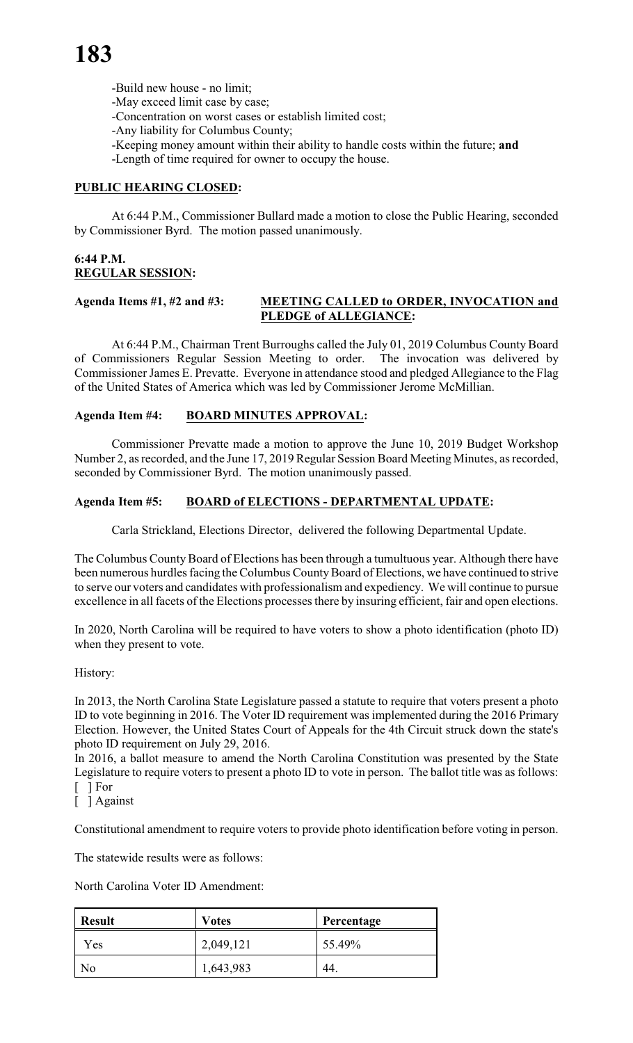- -Build new house no limit;
- -May exceed limit case by case;
- -Concentration on worst cases or establish limited cost;
- -Any liability for Columbus County;
- -Keeping money amount within their ability to handle costs within the future; **and**
- -Length of time required for owner to occupy the house.

# **PUBLIC HEARING CLOSED:**

At 6:44 P.M., Commissioner Bullard made a motion to close the Public Hearing, seconded by Commissioner Byrd. The motion passed unanimously.

# **6:44 P.M. REGULAR SESSION:**

#### **Agenda Items #1, #2 and #3: MEETING CALLED to ORDER, INVOCATION and PLEDGE of ALLEGIANCE:**

At 6:44 P.M., Chairman Trent Burroughs called the July 01, 2019 Columbus County Board of Commissioners Regular Session Meeting to order. The invocation was delivered by Commissioner James E. Prevatte. Everyone in attendance stood and pledged Allegiance to the Flag of the United States of America which was led by Commissioner Jerome McMillian.

# **Agenda Item #4: BOARD MINUTES APPROVAL:**

Commissioner Prevatte made a motion to approve the June 10, 2019 Budget Workshop Number 2, as recorded, and the June 17, 2019 Regular Session Board Meeting Minutes, as recorded, seconded by Commissioner Byrd. The motion unanimously passed.

# **Agenda Item #5: BOARD of ELECTIONS - DEPARTMENTAL UPDATE:**

Carla Strickland, Elections Director, delivered the following Departmental Update.

The Columbus County Board of Elections has been through a tumultuous year. Although there have been numerous hurdles facing the Columbus County Board of Elections, we have continued to strive to serve our voters and candidates with professionalism and expediency. We will continue to pursue excellence in all facets of the Elections processes there by insuring efficient, fair and open elections.

In 2020, North Carolina will be required to have voters to show a photo identification (photo ID) when they present to vote.

# History:

In 2013, the North Carolina State Legislature passed a statute to require that voters present a photo ID to vote beginning in 2016. The Voter ID requirement was implemented during the 2016 Primary Election. However, the United States Court of Appeals for the 4th Circuit struck down the state's photo ID requirement on July 29, 2016.

In 2016, a ballot measure to amend the North Carolina Constitution was presented by the State Legislature to require voters to present a photo ID to vote in person. The ballot title was as follows: [ ] For

[ ] Against

Constitutional amendment to require voters to provide photo identification before voting in person.

The statewide results were as follows:

North Carolina Voter ID Amendment:

| <b>Result</b> | <b>Votes</b> | Percentage |  |  |
|---------------|--------------|------------|--|--|
| Yes           | 2,049,121    | 55.49%     |  |  |
| No            | 1,643,983    | -44.       |  |  |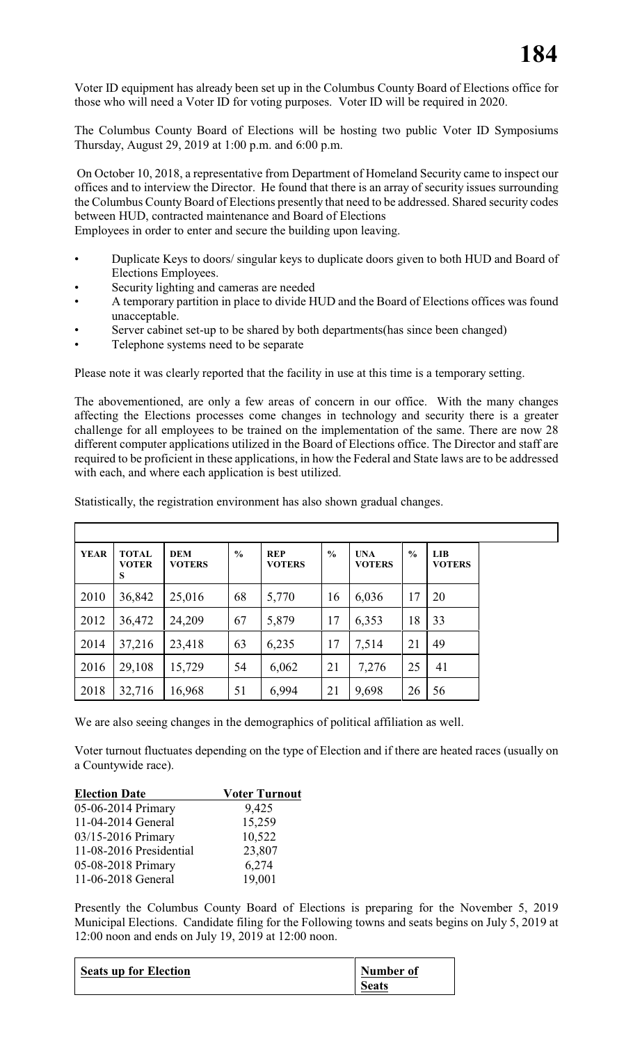Voter ID equipment has already been set up in the Columbus County Board of Elections office for those who will need a Voter ID for voting purposes. Voter ID will be required in 2020.

The Columbus County Board of Elections will be hosting two public Voter ID Symposiums Thursday, August 29, 2019 at 1:00 p.m. and 6:00 p.m.

 On October 10, 2018, a representative from Department of Homeland Security came to inspect our offices and to interview the Director. He found that there is an array of security issues surrounding the Columbus County Board of Elections presently that need to be addressed. Shared security codes between HUD, contracted maintenance and Board of Elections

Employees in order to enter and secure the building upon leaving.

- Duplicate Keys to doors/ singular keys to duplicate doors given to both HUD and Board of Elections Employees.
- Security lighting and cameras are needed
- A temporary partition in place to divide HUD and the Board of Elections offices was found unacceptable.
- Server cabinet set-up to be shared by both departments(has since been changed)
- Telephone systems need to be separate

Please note it was clearly reported that the facility in use at this time is a temporary setting.

The abovementioned, are only a few areas of concern in our office. With the many changes affecting the Elections processes come changes in technology and security there is a greater challenge for all employees to be trained on the implementation of the same. There are now 28 different computer applications utilized in the Board of Elections office. The Director and staff are required to be proficient in these applications, in how the Federal and State laws are to be addressed with each, and where each application is best utilized.

| <b>YEAR</b> | <b>TOTAL</b><br><b>VOTER</b><br>S | <b>DEM</b><br><b>VOTERS</b> | $\frac{0}{0}$ | <b>REP</b><br><b>VOTERS</b> | $\frac{0}{0}$ | <b>UNA</b><br><b>VOTERS</b> | $\frac{0}{0}$ | LIB<br><b>VOTERS</b> |
|-------------|-----------------------------------|-----------------------------|---------------|-----------------------------|---------------|-----------------------------|---------------|----------------------|
| 2010        | 36,842                            | 25,016                      | 68            | 5,770                       | 16            | 6,036                       | 17            | 20                   |
| 2012        | 36,472                            | 24,209                      | 67            | 5,879                       | 17            | 6,353                       | 18            | 33                   |
| 2014        | 37,216                            | 23,418                      | 63            | 6,235                       | 17            | 7,514                       | 21            | 49                   |
| 2016        | 29,108                            | 15,729                      | 54            | 6,062                       | 21            | 7,276                       | 25            | 41                   |
| 2018        | 32,716                            | 16,968                      | 51            | 6,994                       | 21            | 9,698                       | 26            | 56                   |

Statistically, the registration environment has also shown gradual changes.

We are also seeing changes in the demographics of political affiliation as well.

Voter turnout fluctuates depending on the type of Election and if there are heated races (usually on a Countywide race).

| <b>Election Date</b>    | <b>Voter Turnout</b> |
|-------------------------|----------------------|
| 05-06-2014 Primary      | 9,425                |
| 11-04-2014 General      | 15,259               |
| 03/15-2016 Primary      | 10,522               |
| 11-08-2016 Presidential | 23,807               |
| 05-08-2018 Primary      | 6,274                |
| 11-06-2018 General      | 19,001               |

Presently the Columbus County Board of Elections is preparing for the November 5, 2019 Municipal Elections. Candidate filing for the Following towns and seats begins on July 5, 2019 at 12:00 noon and ends on July 19, 2019 at 12:00 noon.

| <b>Seats up for Election</b> | Number of    |
|------------------------------|--------------|
|                              | <b>Seats</b> |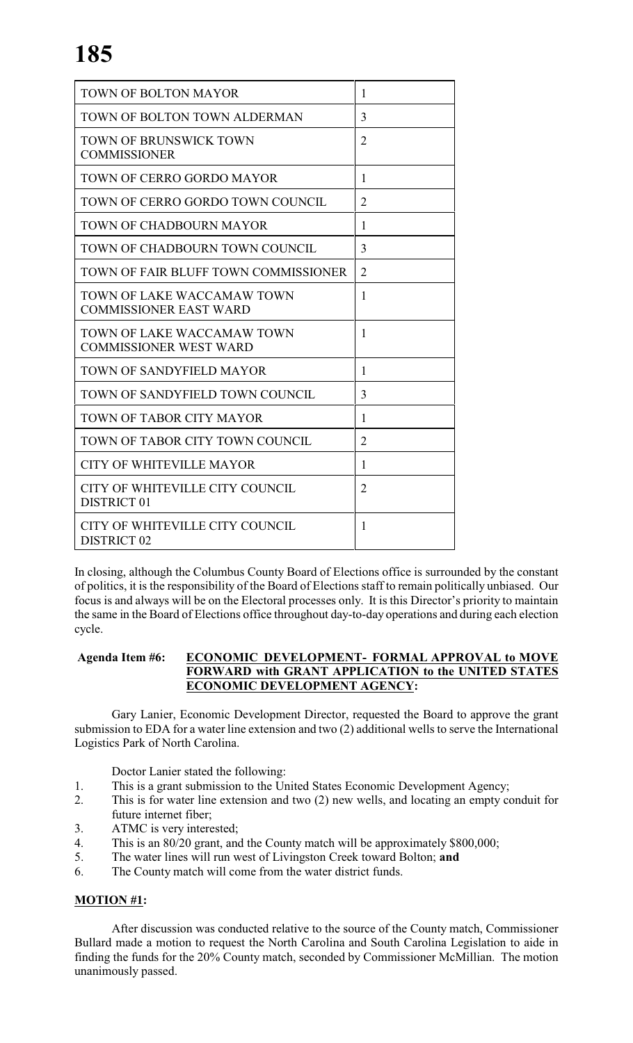| TOWN OF BOLTON MAYOR                                        | 1              |
|-------------------------------------------------------------|----------------|
| TOWN OF BOLTON TOWN ALDERMAN                                | 3              |
| <b>TOWN OF BRUNSWICK TOWN</b><br><b>COMMISSIONER</b>        | $\overline{2}$ |
| TOWN OF CERRO GORDO MAYOR                                   | 1              |
| TOWN OF CERRO GORDO TOWN COUNCIL                            | $\overline{2}$ |
| TOWN OF CHADBOURN MAYOR                                     | 1              |
| TOWN OF CHADBOURN TOWN COUNCIL                              | 3              |
| TOWN OF FAIR BLUFF TOWN COMMISSIONER                        | $\overline{2}$ |
| TOWN OF LAKE WACCAMAW TOWN<br><b>COMMISSIONER EAST WARD</b> | 1              |
| TOWN OF LAKE WACCAMAW TOWN<br><b>COMMISSIONER WEST WARD</b> | 1              |
| TOWN OF SANDYFIELD MAYOR                                    | 1              |
| TOWN OF SANDYFIELD TOWN COUNCIL                             | 3              |
| TOWN OF TABOR CITY MAYOR                                    | 1              |
| TOWN OF TABOR CITY TOWN COUNCIL                             | $\overline{2}$ |
| <b>CITY OF WHITEVILLE MAYOR</b>                             | 1              |
| CITY OF WHITEVILLE CITY COUNCIL<br><b>DISTRICT 01</b>       | $\overline{2}$ |
| CITY OF WHITEVILLE CITY COUNCIL<br><b>DISTRICT 02</b>       | 1              |

In closing, although the Columbus County Board of Elections office is surrounded by the constant of politics, it is the responsibility of the Board of Elections staff to remain politically unbiased. Our focus is and always will be on the Electoral processes only. It is this Director's priority to maintain the same in the Board of Elections office throughout day-to-day operations and during each election cycle.

# **Agenda Item #6: ECONOMIC DEVELOPMENT- FORMAL APPROVAL to MOVE FORWARD with GRANT APPLICATION to the UNITED STATES ECONOMIC DEVELOPMENT AGENCY:**

Gary Lanier, Economic Development Director, requested the Board to approve the grant submission to EDA for a water line extension and two (2) additional wells to serve the International Logistics Park of North Carolina.

Doctor Lanier stated the following:

- 1. This is a grant submission to the United States Economic Development Agency;
- 2. This is for water line extension and two (2) new wells, and locating an empty conduit for future internet fiber;
- 3. ATMC is very interested;
- 4. This is an 80/20 grant, and the County match will be approximately \$800,000;
- 5. The water lines will run west of Livingston Creek toward Bolton; **and**
- 6. The County match will come from the water district funds.

# **MOTION #1:**

After discussion was conducted relative to the source of the County match, Commissioner Bullard made a motion to request the North Carolina and South Carolina Legislation to aide in finding the funds for the 20% County match, seconded by Commissioner McMillian. The motion unanimously passed.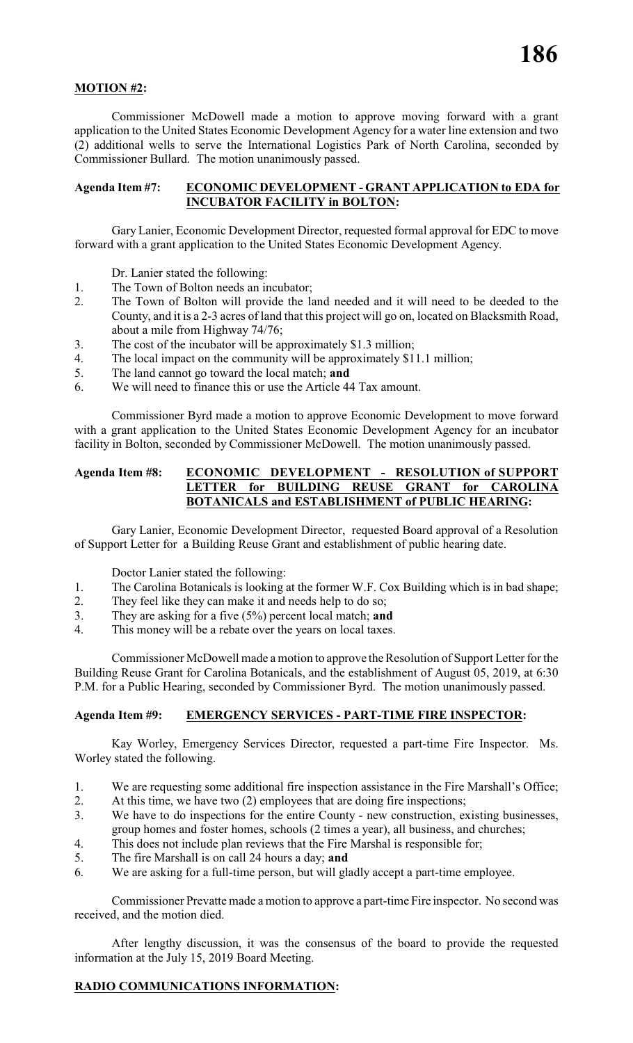# **MOTION #2:**

Commissioner McDowell made a motion to approve moving forward with a grant application to the United States Economic Development Agency for a water line extension and two (2) additional wells to serve the International Logistics Park of North Carolina, seconded by Commissioner Bullard. The motion unanimously passed.

#### **Agenda Item #7: ECONOMIC DEVELOPMENT - GRANT APPLICATION to EDA for INCUBATOR FACILITY in BOLTON:**

Gary Lanier, Economic Development Director, requested formal approval for EDC to move forward with a grant application to the United States Economic Development Agency.

Dr. Lanier stated the following:

- 1. The Town of Bolton needs an incubator;
- 2. The Town of Bolton will provide the land needed and it will need to be deeded to the County, and it is a 2-3 acres of land that this project will go on, located on Blacksmith Road, about a mile from Highway 74/76;
- 3. The cost of the incubator will be approximately \$1.3 million;
- 4. The local impact on the community will be approximately \$11.1 million;
- 5. The land cannot go toward the local match; **and**
- 6. We will need to finance this or use the Article 44 Tax amount.

Commissioner Byrd made a motion to approve Economic Development to move forward with a grant application to the United States Economic Development Agency for an incubator facility in Bolton, seconded by Commissioner McDowell. The motion unanimously passed.

#### **Agenda Item #8: ECONOMIC DEVELOPMENT - RESOLUTION of SUPPORT LETTER for BUILDING REUSE GRANT for CAROLINA BOTANICALS and ESTABLISHMENT of PUBLIC HEARING:**

Gary Lanier, Economic Development Director, requested Board approval of a Resolution of Support Letter for a Building Reuse Grant and establishment of public hearing date.

Doctor Lanier stated the following:

- 1. The Carolina Botanicals is looking at the former W.F. Cox Building which is in bad shape;
- 2. They feel like they can make it and needs help to do so;
- 3. They are asking for a five (5%) percent local match; **and**
- 4. This money will be a rebate over the years on local taxes.

Commissioner McDowell made a motion to approve the Resolution of Support Letter for the Building Reuse Grant for Carolina Botanicals, and the establishment of August 05, 2019, at 6:30 P.M. for a Public Hearing, seconded by Commissioner Byrd. The motion unanimously passed.

# **Agenda Item #9: EMERGENCY SERVICES - PART-TIME FIRE INSPECTOR:**

Kay Worley, Emergency Services Director, requested a part-time Fire Inspector. Ms. Worley stated the following.

- 1. We are requesting some additional fire inspection assistance in the Fire Marshall's Office;
- 2. At this time, we have two (2) employees that are doing fire inspections;
- 3. We have to do inspections for the entire County new construction, existing businesses, group homes and foster homes, schools (2 times a year), all business, and churches;
- 4. This does not include plan reviews that the Fire Marshal is responsible for;
- 5. The fire Marshall is on call 24 hours a day; **and**
- 6. We are asking for a full-time person, but will gladly accept a part-time employee.

Commissioner Prevatte made a motion to approve a part-time Fire inspector. No second was received, and the motion died.

After lengthy discussion, it was the consensus of the board to provide the requested information at the July 15, 2019 Board Meeting.

# **RADIO COMMUNICATIONS INFORMATION:**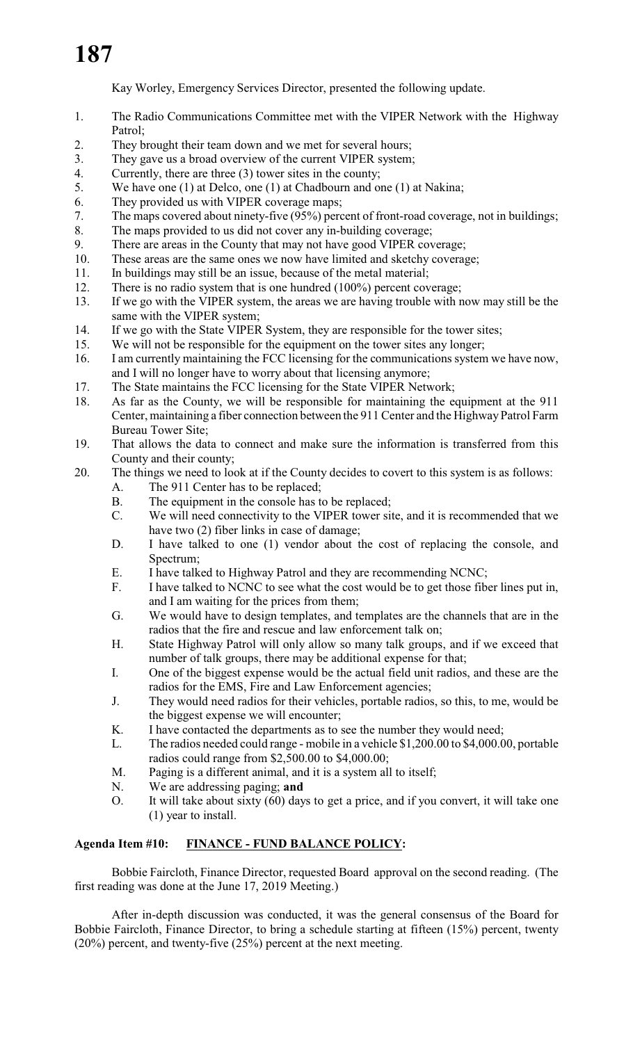Kay Worley, Emergency Services Director, presented the following update.

- 1. The Radio Communications Committee met with the VIPER Network with the Highway Patrol;
- 2. They brought their team down and we met for several hours;
- 3. They gave us a broad overview of the current VIPER system;
- 4. Currently, there are three (3) tower sites in the county;
- 5. We have one (1) at Delco, one (1) at Chadbourn and one (1) at Nakina;
- 6. They provided us with VIPER coverage maps;
- 7. The maps covered about ninety-five (95%) percent of front-road coverage, not in buildings;
- 8. The maps provided to us did not cover any in-building coverage;
- 9. There are areas in the County that may not have good VIPER coverage;
- 10. These areas are the same ones we now have limited and sketchy coverage;
- 11. In buildings may still be an issue, because of the metal material;
- 12. There is no radio system that is one hundred (100%) percent coverage;
- 13. If we go with the VIPER system, the areas we are having trouble with now may still be the same with the VIPER system;
- 14. If we go with the State VIPER System, they are responsible for the tower sites;
- 15. We will not be responsible for the equipment on the tower sites any longer;
- 16. I am currently maintaining the FCC licensing for the communications system we have now, and I will no longer have to worry about that licensing anymore;
- 17. The State maintains the FCC licensing for the State VIPER Network;
- 18. As far as the County, we will be responsible for maintaining the equipment at the 911 Center, maintaining a fiber connection between the 911 Center and the Highway Patrol Farm Bureau Tower Site;
- 19. That allows the data to connect and make sure the information is transferred from this County and their county;
- 20. The things we need to look at if the County decides to covert to this system is as follows:
	- A. The 911 Center has to be replaced;
		- B. The equipment in the console has to be replaced;
		- C. We will need connectivity to the VIPER tower site, and it is recommended that we have two (2) fiber links in case of damage;
		- D. I have talked to one (1) vendor about the cost of replacing the console, and Spectrum;
		- E. I have talked to Highway Patrol and they are recommending NCNC;
		- F. I have talked to NCNC to see what the cost would be to get those fiber lines put in, and I am waiting for the prices from them;
		- G. We would have to design templates, and templates are the channels that are in the radios that the fire and rescue and law enforcement talk on;
		- H. State Highway Patrol will only allow so many talk groups, and if we exceed that number of talk groups, there may be additional expense for that;
		- I. One of the biggest expense would be the actual field unit radios, and these are the radios for the EMS, Fire and Law Enforcement agencies;
		- J. They would need radios for their vehicles, portable radios, so this, to me, would be the biggest expense we will encounter;
		- K. I have contacted the departments as to see the number they would need;
		- L. The radios needed could range mobile in a vehicle \$1,200.00 to \$4,000.00, portable radios could range from \$2,500.00 to \$4,000.00;
		- M. Paging is a different animal, and it is a system all to itself;
		- N. We are addressing paging; **and**
		- O. It will take about sixty (60) days to get a price, and if you convert, it will take one (1) year to install.

# **Agenda Item #10: FINANCE - FUND BALANCE POLICY:**

Bobbie Faircloth, Finance Director, requested Board approval on the second reading. (The first reading was done at the June 17, 2019 Meeting.)

After in-depth discussion was conducted, it was the general consensus of the Board for Bobbie Faircloth, Finance Director, to bring a schedule starting at fifteen (15%) percent, twenty (20%) percent, and twenty-five (25%) percent at the next meeting.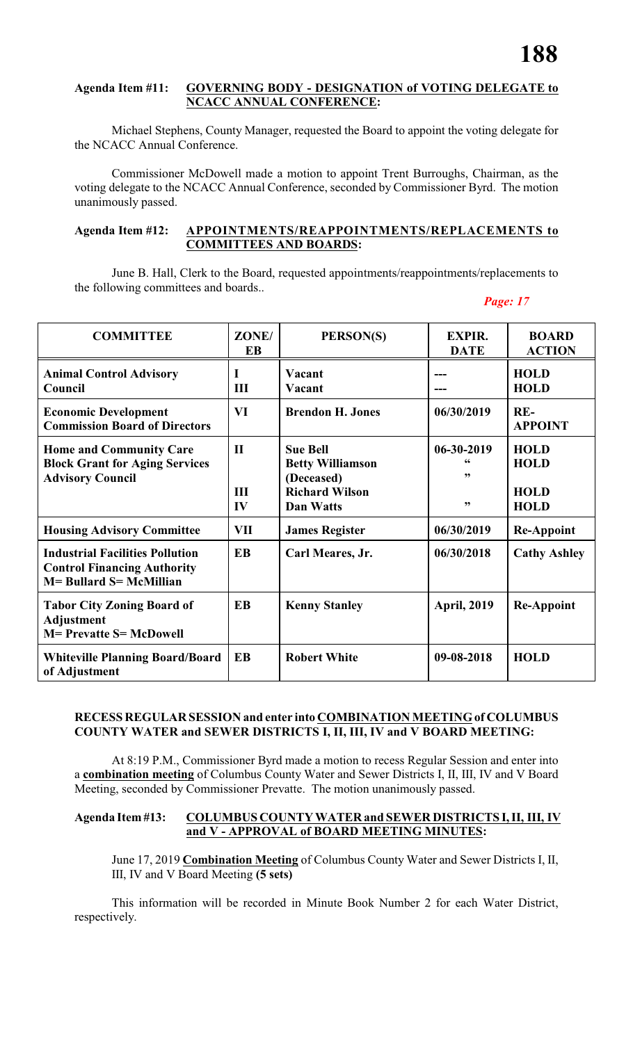#### **Agenda Item #11: GOVERNING BODY - DESIGNATION of VOTING DELEGATE to NCACC ANNUAL CONFERENCE:**

Michael Stephens, County Manager, requested the Board to appoint the voting delegate for the NCACC Annual Conference.

Commissioner McDowell made a motion to appoint Trent Burroughs, Chairman, as the voting delegate to the NCACC Annual Conference, seconded by Commissioner Byrd. The motion unanimously passed.

#### **Agenda Item #12: APPOINTMENTS/REAPPOINTMENTS/REPLACEMENTS to COMMITTEES AND BOARDS:**

June B. Hall, Clerk to the Board, requested appointments/reappointments/replacements to the following committees and boards..

#### *Page: 17*

| <b>COMMITTEE</b>                                                                                        | ZONE/<br>EB               | PERSON(S)                                                                                      | <b>EXPIR.</b><br><b>DATE</b> | <b>BOARD</b><br><b>ACTION</b>                            |
|---------------------------------------------------------------------------------------------------------|---------------------------|------------------------------------------------------------------------------------------------|------------------------------|----------------------------------------------------------|
| <b>Animal Control Advisory</b><br>Council                                                               | T<br>III                  | Vacant<br>Vacant                                                                               |                              | <b>HOLD</b><br><b>HOLD</b>                               |
| <b>Economic Development</b><br><b>Commission Board of Directors</b>                                     | VI                        | <b>Brendon H. Jones</b>                                                                        | 06/30/2019                   | RE-<br><b>APPOINT</b>                                    |
| <b>Home and Community Care</b><br><b>Block Grant for Aging Services</b><br><b>Advisory Council</b>      | $\mathbf{I}$<br>III<br>IV | <b>Sue Bell</b><br><b>Betty Williamson</b><br>(Deceased)<br><b>Richard Wilson</b><br>Dan Watts | 06-30-2019<br>,,<br>, 2      | <b>HOLD</b><br><b>HOLD</b><br><b>HOLD</b><br><b>HOLD</b> |
| <b>Housing Advisory Committee</b>                                                                       | VII                       | <b>James Register</b>                                                                          | 06/30/2019                   | <b>Re-Appoint</b>                                        |
| <b>Industrial Facilities Pollution</b><br><b>Control Financing Authority</b><br>M= Bullard S= McMillian | <b>EB</b>                 | Carl Meares, Jr.                                                                               | 06/30/2018                   | <b>Cathy Ashley</b>                                      |
| <b>Tabor City Zoning Board of</b><br><b>Adjustment</b><br><b>M= Prevatte S= McDowell</b>                | <b>EB</b>                 | <b>Kenny Stanley</b>                                                                           | <b>April, 2019</b>           | <b>Re-Appoint</b>                                        |
| <b>Whiteville Planning Board/Board</b><br>of Adjustment                                                 | EB                        | <b>Robert White</b>                                                                            | 09-08-2018                   | <b>HOLD</b>                                              |

#### **RECESS REGULAR SESSION and enter into COMBINATION MEETING of COLUMBUS COUNTY WATER and SEWER DISTRICTS I, II, III, IV and V BOARD MEETING:**

At 8:19 P.M., Commissioner Byrd made a motion to recess Regular Session and enter into a **combination meeting** of Columbus County Water and Sewer Districts I, II, III, IV and V Board Meeting, seconded by Commissioner Prevatte. The motion unanimously passed.

# **Agenda Item #13: COLUMBUS COUNTY WATER and SEWER DISTRICTS I, II, III, IV and V - APPROVAL of BOARD MEETING MINUTES:**

June 17, 2019 **Combination Meeting** of Columbus County Water and Sewer Districts I, II, III, IV and V Board Meeting **(5 sets)**

This information will be recorded in Minute Book Number 2 for each Water District, respectively.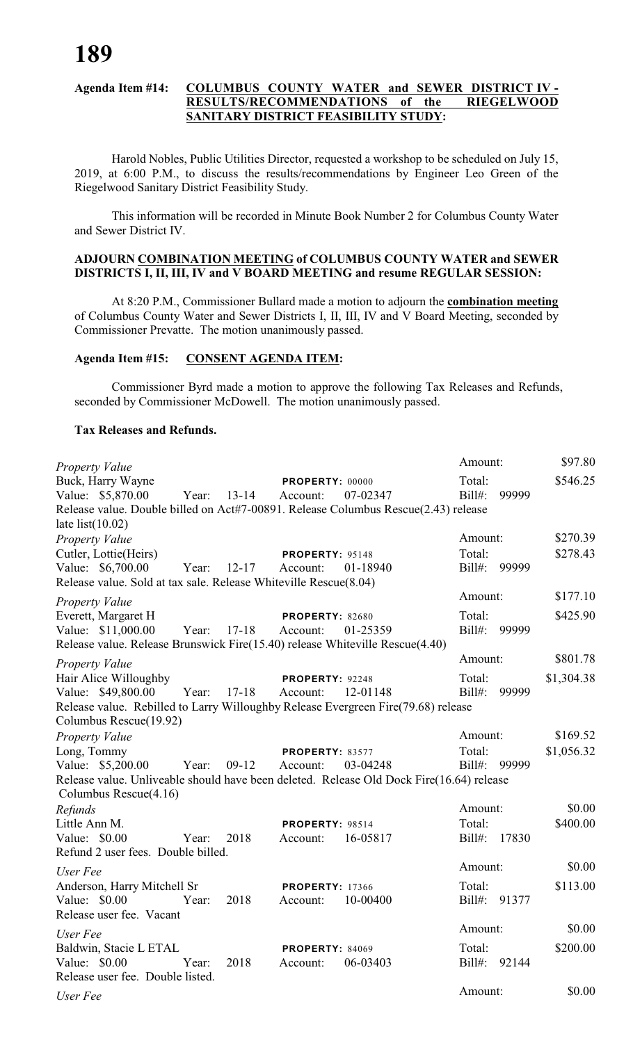#### **Agenda Item #14: COLUMBUS COUNTY WATER and SEWER DISTRICT IV - RESULTS/RECOMMENDATIONS of the RIEGELWOOD SANITARY DISTRICT FEASIBILITY STUDY:**

Harold Nobles, Public Utilities Director, requested a workshop to be scheduled on July 15, 2019, at 6:00 P.M., to discuss the results/recommendations by Engineer Leo Green of the Riegelwood Sanitary District Feasibility Study.

This information will be recorded in Minute Book Number 2 for Columbus County Water and Sewer District IV.

# **ADJOURN COMBINATION MEETING of COLUMBUS COUNTY WATER and SEWER DISTRICTS I, II, III, IV and V BOARD MEETING and resume REGULAR SESSION:**

At 8:20 P.M., Commissioner Bullard made a motion to adjourn the **combination meeting** of Columbus County Water and Sewer Districts I, II, III, IV and V Board Meeting, seconded by Commissioner Prevatte. The motion unanimously passed.

#### **Agenda Item #15: CONSENT AGENDA ITEM:**

Commissioner Byrd made a motion to approve the following Tax Releases and Refunds, seconded by Commissioner McDowell. The motion unanimously passed.

#### **Tax Releases and Refunds.**

| Property Value                                                                                                       |       |           |                        |          | Amount:   |              | \$97.80    |
|----------------------------------------------------------------------------------------------------------------------|-------|-----------|------------------------|----------|-----------|--------------|------------|
| Buck, Harry Wayne                                                                                                    |       |           | PROPERTY: 00000        |          | Total:    |              | \$546.25   |
| Value: \$5,870.00                                                                                                    | Year: | $13 - 14$ | Account:               | 07-02347 | Bill#:    | 99999        |            |
| Release value. Double billed on Act#7-00891. Release Columbus Rescue(2.43) release                                   |       |           |                        |          |           |              |            |
| late $list(10.02)$                                                                                                   |       |           |                        |          | Amount:   |              | \$270.39   |
| <b>Property Value</b><br>Cutler, Lottie(Heirs)                                                                       |       |           | PROPERTY: 95148        |          | Total:    |              | \$278.43   |
| Value: \$6,700.00                                                                                                    | Year: | $12 - 17$ | Account:               | 01-18940 | $Bill#$ : | 99999        |            |
| Release value. Sold at tax sale. Release Whiteville Rescue(8.04)                                                     |       |           |                        |          |           |              |            |
| <b>Property Value</b>                                                                                                |       |           |                        |          | Amount:   |              | \$177.10   |
| Everett, Margaret H                                                                                                  |       |           | PROPERTY: 82680        |          | Total:    |              | \$425.90   |
| Value: \$11,000.00                                                                                                   | Year: | $17 - 18$ | Account:               | 01-25359 | Bill#:    | 99999        |            |
| Release value. Release Brunswick Fire(15.40) release Whiteville Rescue(4.40)                                         |       |           |                        |          |           |              |            |
| Property Value                                                                                                       |       |           |                        |          | Amount:   |              | \$801.78   |
| Hair Alice Willoughby                                                                                                |       |           | PROPERTY: 92248        |          | Total:    |              | \$1,304.38 |
| Value: \$49,800.00                                                                                                   | Year: | $17 - 18$ | Account:               | 12-01148 | Bill#:    | 99999        |            |
| Release value. Rebilled to Larry Willoughby Release Evergreen Fire(79.68) release                                    |       |           |                        |          |           |              |            |
| Columbus Rescue(19.92)                                                                                               |       |           |                        |          |           |              |            |
| Property Value                                                                                                       |       |           |                        |          | Amount:   |              | \$169.52   |
| Long, Tommy                                                                                                          |       |           | PROPERTY: 83577        |          | Total:    |              | \$1,056.32 |
| Value: \$5,200.00                                                                                                    | Year: | $09-12$   | Account:               | 03-04248 | $Bill#$ : | 99999        |            |
| Release value. Unliveable should have been deleted. Release Old Dock Fire(16.64) release<br>Columbus Rescue $(4.16)$ |       |           |                        |          |           |              |            |
| Refunds                                                                                                              |       |           |                        |          | Amount:   |              | \$0.00     |
| Little Ann M.                                                                                                        |       |           | PROPERTY: 98514        |          | Total:    |              | \$400.00   |
| Value: \$0.00                                                                                                        | Year: | 2018      | Account:               | 16-05817 | $Bill#$ : | 17830        |            |
| Refund 2 user fees. Double billed.                                                                                   |       |           |                        |          |           |              |            |
| User Fee                                                                                                             |       |           |                        |          | Amount:   |              | \$0.00     |
| Anderson, Harry Mitchell Sr                                                                                          |       |           | <b>PROPERTY: 17366</b> |          | Total:    |              | \$113.00   |
| Value: \$0.00                                                                                                        | Year: | 2018      | Account:               | 10-00400 | $Bill#$ : | 91377        |            |
| Release user fee. Vacant                                                                                             |       |           |                        |          |           |              |            |
| User Fee                                                                                                             |       |           |                        |          | Amount:   |              | \$0.00     |
| Baldwin, Stacie L ETAL                                                                                               |       |           | <b>PROPERTY: 84069</b> |          | Total:    |              | \$200.00   |
| Value: \$0.00                                                                                                        | Year: | 2018      | Account:               | 06-03403 |           | Bill#: 92144 |            |
| Release user fee. Double listed.                                                                                     |       |           |                        |          |           |              |            |
| User Fee                                                                                                             |       |           |                        |          | Amount:   |              | \$0.00     |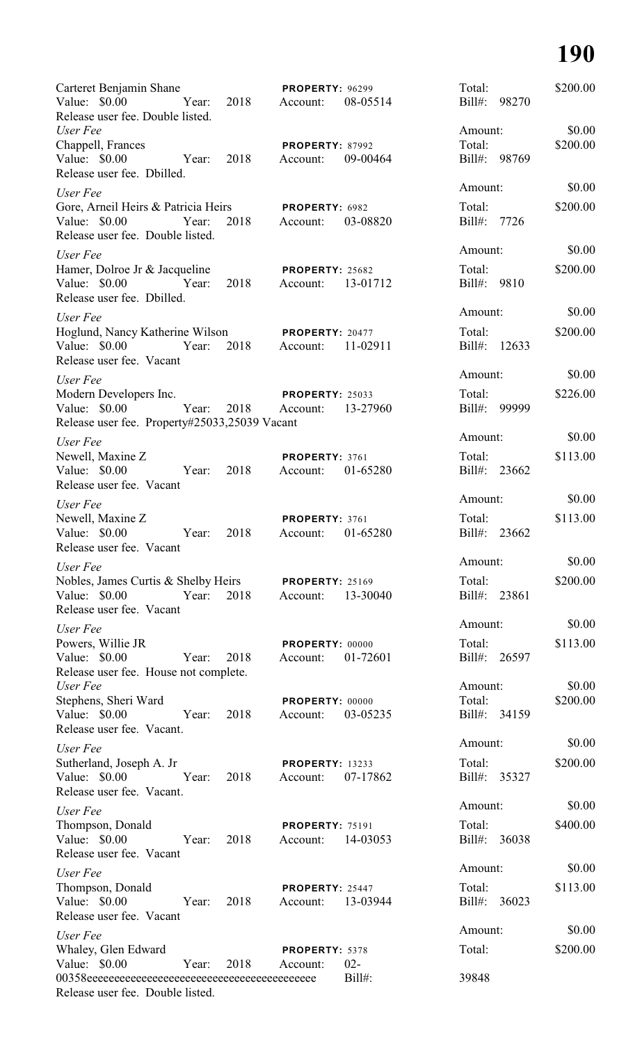# **190**

| Carteret Benjamin Shane<br>Value: \$0.00                       | Year: | 2018 | <b>PROPERTY: 96299</b><br>Account: | 08-05514  | Total:<br>Bill#:       | 98270 | \$200.00 |
|----------------------------------------------------------------|-------|------|------------------------------------|-----------|------------------------|-------|----------|
| Release user fee. Double listed.<br>User Fee                   |       |      |                                    |           | Amount:                |       | \$0.00   |
| Chappell, Frances                                              |       |      | <b>PROPERTY: 87992</b>             |           | Total:                 |       | \$200.00 |
| Value: \$0.00<br>Release user fee. Dbilled.                    | Year: | 2018 | Account:                           | 09-00464  | Bill#: 98769           |       |          |
| User Fee                                                       |       |      |                                    |           | Amount:                |       | \$0.00   |
| Gore, Arneil Heirs & Patricia Heirs                            |       |      | PROPERTY: 6982                     |           | Total:                 |       | \$200.00 |
| Value: \$0.00<br>Release user fee. Double listed.              | Year: | 2018 | Account:                           | 03-08820  | $Bill#$ :              | 7726  |          |
| User Fee                                                       |       |      |                                    |           | Amount:                |       | \$0.00   |
| Hamer, Dolroe Jr & Jacqueline                                  |       |      | PROPERTY: 25682                    |           | Total:                 |       | \$200.00 |
| Value: \$0.00<br>Release user fee. Dbilled.                    | Year: | 2018 | Account:                           | 13-01712  | Bill#: 9810            |       |          |
| User Fee                                                       |       |      |                                    |           | Amount:                |       | \$0.00   |
| Hoglund, Nancy Katherine Wilson                                |       |      | PROPERTY: 20477                    |           | Total:                 |       | \$200.00 |
| Value: \$0.00<br>Year:<br>Release user fee. Vacant             |       | 2018 | Account:                           | 11-02911  | $Bill#$ :              | 12633 |          |
| User Fee                                                       |       |      |                                    |           | Amount:                |       | \$0.00   |
| Modern Developers Inc.                                         |       |      | <b>PROPERTY: 25033</b>             |           | Total:                 |       | \$226.00 |
| Value: \$0.00<br>Release user fee. Property#25033,25039 Vacant | Year: | 2018 | Account:                           | 13-27960  | Bill#:                 | 99999 |          |
| User Fee                                                       |       |      |                                    |           | Amount:                |       | \$0.00   |
| Newell, Maxine Z                                               |       |      | PROPERTY: 3761                     |           | Total:                 |       | \$113.00 |
| Value: \$0.00<br>Release user fee. Vacant                      | Year: | 2018 | Account:                           | 01-65280  | Bill#:                 | 23662 |          |
| User Fee                                                       |       |      |                                    |           | Amount:                |       | \$0.00   |
| Newell, Maxine Z                                               |       |      | PROPERTY: 3761                     |           | Total:                 |       | \$113.00 |
| Value: \$0.00<br>Release user fee. Vacant                      | Year: | 2018 | Account:                           | 01-65280  | Bill#:                 | 23662 |          |
| User Fee                                                       |       |      |                                    |           | Amount:                |       | \$0.00   |
| Nobles, James Curtis & Shelby Heirs                            |       |      | <b>PROPERTY: 25169</b>             |           | Total:                 |       | \$200.00 |
| Value: \$0.00<br>Release user fee. Vacant                      | Year: | 2018 | Account:                           | 13-30040  | Bill#:                 | 23861 |          |
| User Fee                                                       |       |      |                                    |           | Amount:                |       | \$0.00   |
| Powers, Willie JR                                              |       |      | PROPERTY: 00000                    |           | Total:                 |       | \$113.00 |
| Value: \$0.00<br>Release user fee. House not complete.         | Year: | 2018 | Account:                           | 01-72601  | Bill#: 26597           |       |          |
| User Fee                                                       |       |      |                                    |           | Amount:                |       | \$0.00   |
| Stephens, Sheri Ward                                           |       |      | PROPERTY: 00000                    |           | Total:                 |       | \$200.00 |
| Value: \$0.00<br>Release user fee. Vacant.                     | Year: | 2018 | Account:                           | 03-05235  | Bill#: 34159           |       |          |
| User Fee                                                       |       |      |                                    |           | Amount:                |       | \$0.00   |
| Sutherland, Joseph A. Jr<br>Value: \$0.00                      | Year: | 2018 | <b>PROPERTY: 13233</b><br>Account: | 07-17862  | Total:<br>Bill#: 35327 |       | \$200.00 |
| Release user fee. Vacant.<br>User Fee                          |       |      |                                    |           | Amount:                |       | \$0.00   |
| Thompson, Donald                                               |       |      | <b>PROPERTY: 75191</b>             |           | Total:                 |       | \$400.00 |
| Value: \$0.00<br>Release user fee. Vacant                      | Year: | 2018 | Account:                           | 14-03053  | Bill#:                 | 36038 |          |
| User Fee                                                       |       |      |                                    |           | Amount:                |       | \$0.00   |
| Thompson, Donald                                               |       |      | PROPERTY: 25447                    |           | Total:                 |       | \$113.00 |
| Value: \$0.00<br>Release user fee. Vacant                      | Year: | 2018 | Account:                           | 13-03944  | Bill#: 36023           |       |          |
| User Fee                                                       |       |      |                                    |           | Amount:                |       | \$0.00   |
| Whaley, Glen Edward                                            |       |      | PROPERTY: 5378                     |           | Total:                 |       | \$200.00 |
| Value: \$0.00                                                  | Year: | 2018 | Account:                           | $02 -$    |                        |       |          |
| Release user fee. Double listed.                               |       |      |                                    | $Bill#$ : | 39848                  |       |          |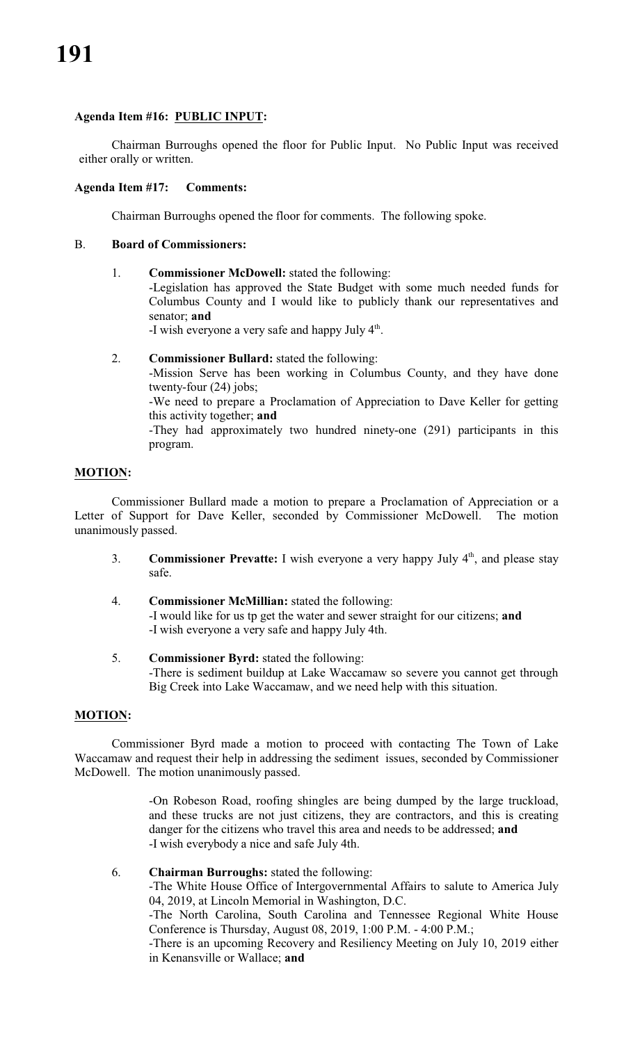# **Agenda Item #16: PUBLIC INPUT:**

Chairman Burroughs opened the floor for Public Input. No Public Input was received either orally or written.

# **Agenda Item #17: Comments:**

Chairman Burroughs opened the floor for comments. The following spoke.

# B. **Board of Commissioners:**

1. **Commissioner McDowell:** stated the following:

-Legislation has approved the State Budget with some much needed funds for Columbus County and I would like to publicly thank our representatives and senator; **and**

-I wish everyone a very safe and happy July 4<sup>th</sup>.

2. **Commissioner Bullard:** stated the following:

-Mission Serve has been working in Columbus County, and they have done twenty-four (24) jobs;

-We need to prepare a Proclamation of Appreciation to Dave Keller for getting this activity together; **and**

-They had approximately two hundred ninety-one (291) participants in this program.

# **MOTION:**

Commissioner Bullard made a motion to prepare a Proclamation of Appreciation or a Letter of Support for Dave Keller, seconded by Commissioner McDowell. The motion unanimously passed.

- 3. **Commissioner Prevatte:** I wish everyone a very happy July 4<sup>th</sup>, and please stay safe.
- 4. **Commissioner McMillian:** stated the following: -I would like for us tp get the water and sewer straight for our citizens; **and** -I wish everyone a very safe and happy July 4th.
- 5. **Commissioner Byrd:** stated the following: -There is sediment buildup at Lake Waccamaw so severe you cannot get through Big Creek into Lake Waccamaw, and we need help with this situation.

# **MOTION:**

Commissioner Byrd made a motion to proceed with contacting The Town of Lake Waccamaw and request their help in addressing the sediment issues, seconded by Commissioner McDowell. The motion unanimously passed.

> -On Robeson Road, roofing shingles are being dumped by the large truckload, and these trucks are not just citizens, they are contractors, and this is creating danger for the citizens who travel this area and needs to be addressed; **and** -I wish everybody a nice and safe July 4th.

# 6. **Chairman Burroughs:** stated the following:

-The White House Office of Intergovernmental Affairs to salute to America July 04, 2019, at Lincoln Memorial in Washington, D.C.

-The North Carolina, South Carolina and Tennessee Regional White House Conference is Thursday, August 08, 2019, 1:00 P.M. - 4:00 P.M.;

-There is an upcoming Recovery and Resiliency Meeting on July 10, 2019 either in Kenansville or Wallace; **and**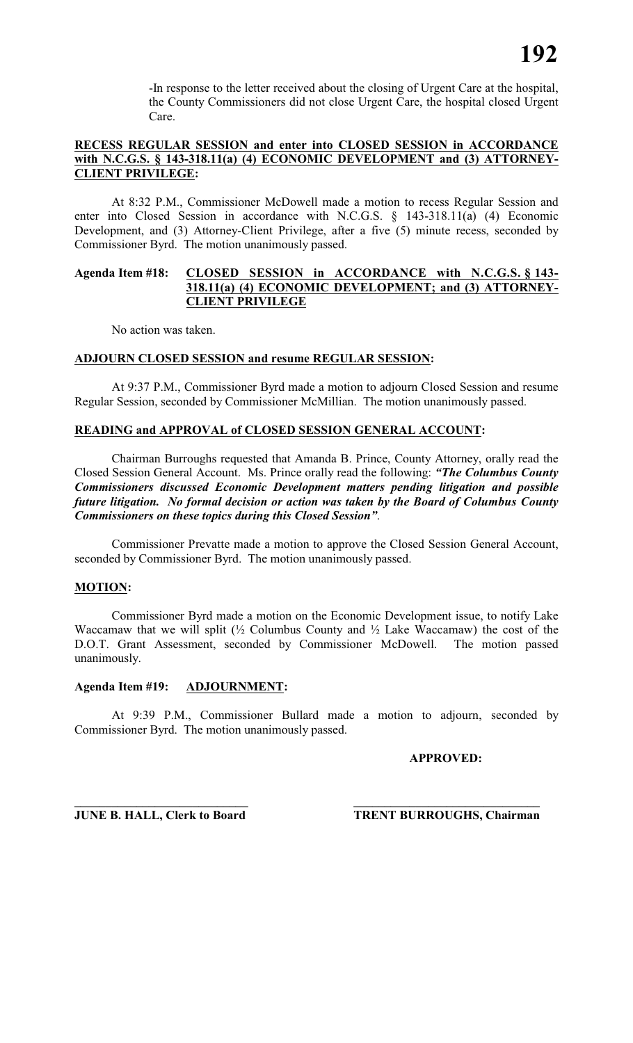-In response to the letter received about the closing of Urgent Care at the hospital, the County Commissioners did not close Urgent Care, the hospital closed Urgent Care.

# **RECESS REGULAR SESSION and enter into CLOSED SESSION in ACCORDANCE** with N.C.G.S. § 143-318.11(a) (4) ECONOMIC DEVELOPMENT and (3) ATTORNEY-**CLIENT PRIVILEGE:**

At 8:32 P.M., Commissioner McDowell made a motion to recess Regular Session and enter into Closed Session in accordance with N.C.G.S. § 143-318.11(a) (4) Economic Development, and (3) Attorney-Client Privilege, after a five (5) minute recess, seconded by Commissioner Byrd. The motion unanimously passed.

#### **Agenda Item #18: CLOSED SESSION in ACCORDANCE with N.C.G.S. § 143- 318.11(a) (4) ECONOMIC DEVELOPMENT; and (3) ATTORNEY-CLIENT PRIVILEGE**

No action was taken.

# **ADJOURN CLOSED SESSION and resume REGULAR SESSION:**

At 9:37 P.M., Commissioner Byrd made a motion to adjourn Closed Session and resume Regular Session, seconded by Commissioner McMillian. The motion unanimously passed.

# **READING and APPROVAL of CLOSED SESSION GENERAL ACCOUNT:**

Chairman Burroughs requested that Amanda B. Prince, County Attorney, orally read the Closed Session General Account. Ms. Prince orally read the following: *"The Columbus County Commissioners discussed Economic Development matters pending litigation and possible future litigation. No formal decision or action was taken by the Board of Columbus County Commissioners on these topics during this Closed Session"*.

Commissioner Prevatte made a motion to approve the Closed Session General Account, seconded by Commissioner Byrd. The motion unanimously passed.

# **MOTION:**

Commissioner Byrd made a motion on the Economic Development issue, to notify Lake Waccamaw that we will split  $\frac{1}{2}$  Columbus County and  $\frac{1}{2}$  Lake Waccamaw) the cost of the D.O.T. Grant Assessment, seconded by Commissioner McDowell. The motion passed unanimously.

# **Agenda Item #19: ADJOURNMENT:**

At 9:39 P.M., Commissioner Bullard made a motion to adjourn, seconded by Commissioner Byrd. The motion unanimously passed.

**APPROVED:**

**\_\_\_\_\_\_\_\_\_\_\_\_\_\_\_\_\_\_\_\_\_\_\_\_\_\_\_\_ \_\_\_\_\_\_\_\_\_\_\_\_\_\_\_\_\_\_\_\_\_\_\_\_\_\_\_\_\_\_**

**JUNE B. HALL, Clerk to Board TRENT BURROUGHS, Chairman**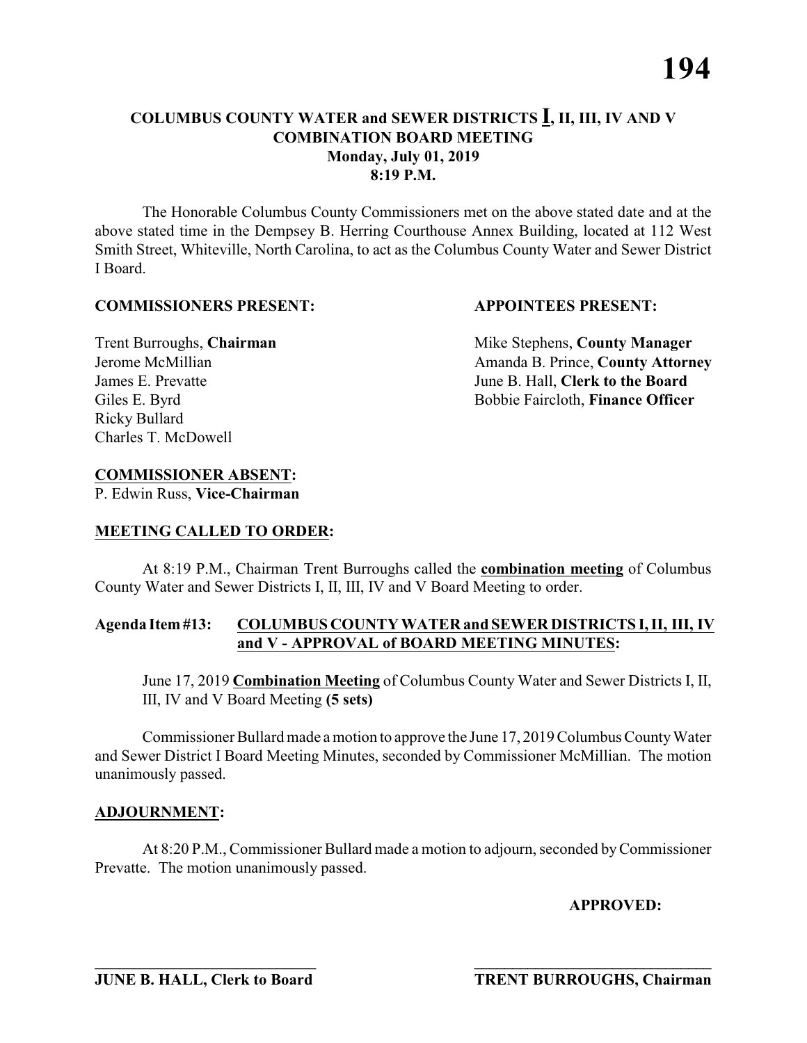The Honorable Columbus County Commissioners met on the above stated date and at the above stated time in the Dempsey B. Herring Courthouse Annex Building, located at 112 West Smith Street, Whiteville, North Carolina, to act as the Columbus County Water and Sewer District I Board.

#### **COMMISSIONERS PRESENT: APPOINTEES PRESENT:**

Ricky Bullard Charles T. McDowell

**Trent Burroughs, Chairman** Mike Stephens, **County Manager** Jerome McMillian **Amanda B. Prince, County Attorney** James E. Prevatte June B. Hall, **Clerk to the Board** Giles E. Byrd **Bobbie Faircloth, Finance Officer** 

# **COMMISSIONER ABSENT:**

P. Edwin Russ, **Vice-Chairman**

# **MEETING CALLED TO ORDER:**

At 8:19 P.M., Chairman Trent Burroughs called the **combination meeting** of Columbus County Water and Sewer Districts I, II, III, IV and V Board Meeting to order.

# **Agenda Item #13: COLUMBUS COUNTY WATER and SEWER DISTRICTS I, II, III, IV and V - APPROVAL of BOARD MEETING MINUTES:**

June 17, 2019 **Combination Meeting** of Columbus County Water and Sewer Districts I, II, III, IV and V Board Meeting **(5 sets)**

Commissioner Bullard made a motion to approve the June 17, 2019 Columbus County Water and Sewer District I Board Meeting Minutes, seconded by Commissioner McMillian. The motion unanimously passed.

# **ADJOURNMENT:**

At 8:20 P.M., Commissioner Bullard made a motion to adjourn, seconded by Commissioner Prevatte. The motion unanimously passed.

**\_\_\_\_\_\_\_\_\_\_\_\_\_\_\_\_\_\_\_\_\_\_\_\_\_\_\_\_ \_\_\_\_\_\_\_\_\_\_\_\_\_\_\_\_\_\_\_\_\_\_\_\_\_\_\_\_\_\_\_**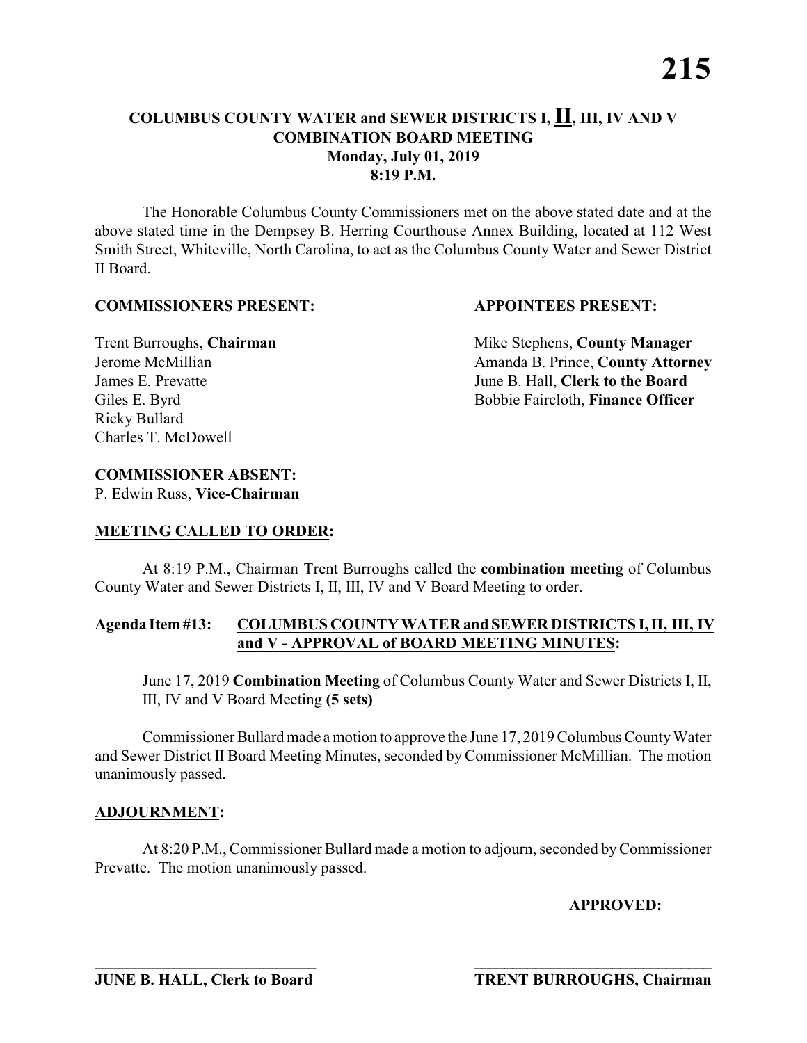The Honorable Columbus County Commissioners met on the above stated date and at the above stated time in the Dempsey B. Herring Courthouse Annex Building, located at 112 West Smith Street, Whiteville, North Carolina, to act as the Columbus County Water and Sewer District II Board.

#### **COMMISSIONERS PRESENT: APPOINTEES PRESENT:**

Ricky Bullard Charles T. McDowell

**Trent Burroughs, Chairman** Mike Stephens, **County Manager** Jerome McMillian **Amanda B. Prince, County Attorney** James E. Prevatte June B. Hall, **Clerk to the Board** Giles E. Byrd **Bobbie Faircloth, Finance Officer** 

# **COMMISSIONER ABSENT:**

P. Edwin Russ, **Vice-Chairman**

# **MEETING CALLED TO ORDER:**

At 8:19 P.M., Chairman Trent Burroughs called the **combination meeting** of Columbus County Water and Sewer Districts I, II, III, IV and V Board Meeting to order.

# **Agenda Item #13: COLUMBUS COUNTY WATER and SEWER DISTRICTS I, II, III, IV and V - APPROVAL of BOARD MEETING MINUTES:**

June 17, 2019 **Combination Meeting** of Columbus County Water and Sewer Districts I, II, III, IV and V Board Meeting **(5 sets)**

Commissioner Bullard made a motion to approve the June 17, 2019 Columbus County Water and Sewer District II Board Meeting Minutes, seconded by Commissioner McMillian. The motion unanimously passed.

# **ADJOURNMENT:**

At 8:20 P.M., Commissioner Bullard made a motion to adjourn, seconded by Commissioner Prevatte. The motion unanimously passed.

**\_\_\_\_\_\_\_\_\_\_\_\_\_\_\_\_\_\_\_\_\_\_\_\_\_\_\_\_ \_\_\_\_\_\_\_\_\_\_\_\_\_\_\_\_\_\_\_\_\_\_\_\_\_\_\_\_\_\_\_**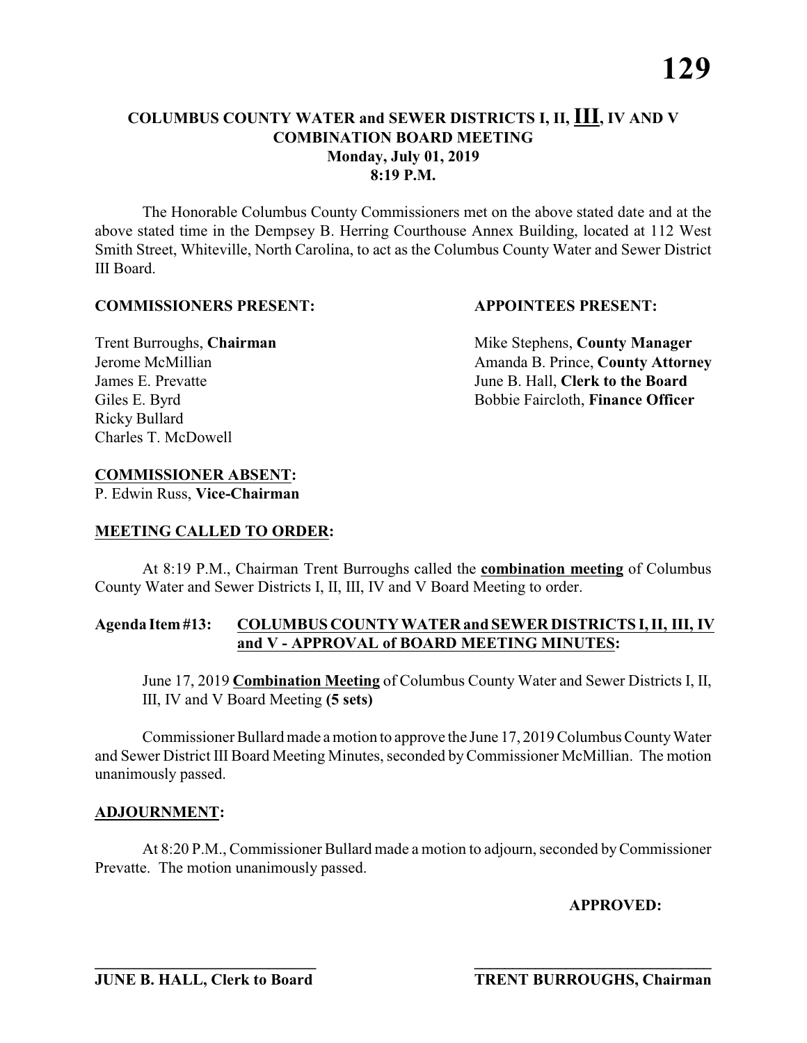The Honorable Columbus County Commissioners met on the above stated date and at the above stated time in the Dempsey B. Herring Courthouse Annex Building, located at 112 West Smith Street, Whiteville, North Carolina, to act as the Columbus County Water and Sewer District III Board.

#### **COMMISSIONERS PRESENT: APPOINTEES PRESENT:**

Ricky Bullard Charles T. McDowell

**Trent Burroughs, Chairman** Mike Stephens, **County Manager** Jerome McMillian **Amanda B. Prince, County Attorney** James E. Prevatte June B. Hall, **Clerk to the Board** Giles E. Byrd **Bobbie Faircloth, Finance Officer** 

# **COMMISSIONER ABSENT:**

P. Edwin Russ, **Vice-Chairman**

# **MEETING CALLED TO ORDER:**

At 8:19 P.M., Chairman Trent Burroughs called the **combination meeting** of Columbus County Water and Sewer Districts I, II, III, IV and V Board Meeting to order.

# **Agenda Item #13: COLUMBUS COUNTY WATER and SEWER DISTRICTS I, II, III, IV and V - APPROVAL of BOARD MEETING MINUTES:**

June 17, 2019 **Combination Meeting** of Columbus County Water and Sewer Districts I, II, III, IV and V Board Meeting **(5 sets)**

Commissioner Bullard made a motion to approve the June 17, 2019 Columbus County Water and Sewer District III Board Meeting Minutes, seconded byCommissioner McMillian. The motion unanimously passed.

# **ADJOURNMENT:**

At 8:20 P.M., Commissioner Bullard made a motion to adjourn, seconded by Commissioner Prevatte. The motion unanimously passed.

**\_\_\_\_\_\_\_\_\_\_\_\_\_\_\_\_\_\_\_\_\_\_\_\_\_\_\_\_ \_\_\_\_\_\_\_\_\_\_\_\_\_\_\_\_\_\_\_\_\_\_\_\_\_\_\_\_\_\_\_**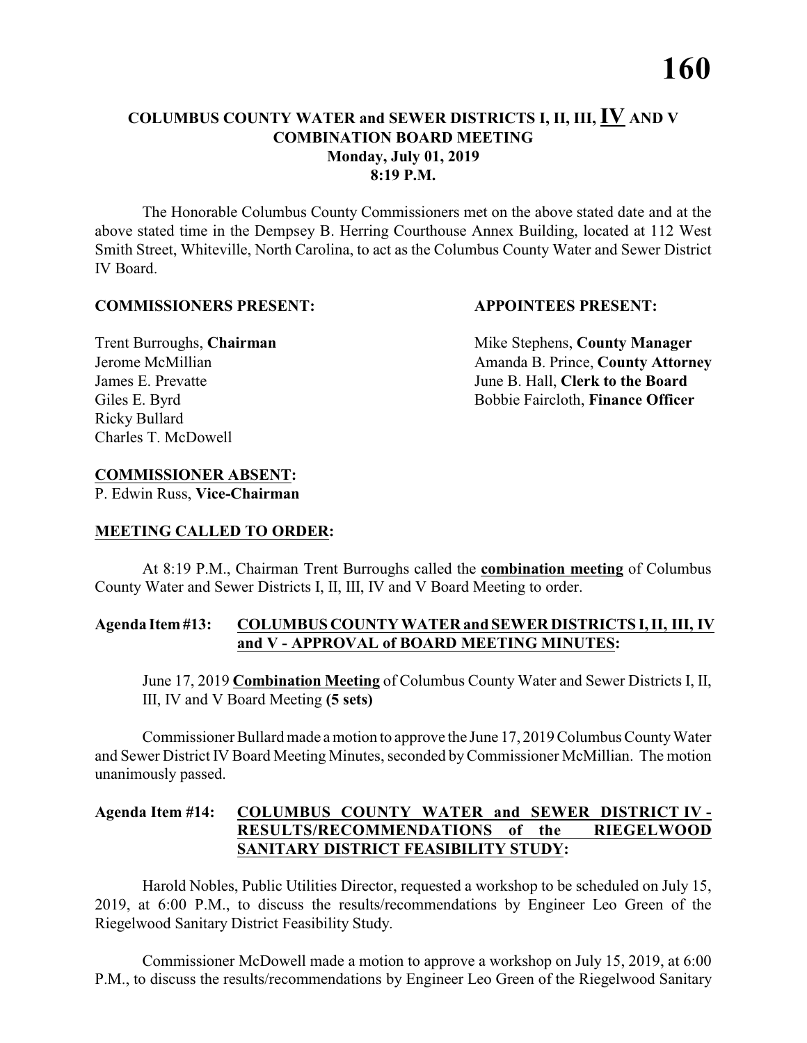The Honorable Columbus County Commissioners met on the above stated date and at the above stated time in the Dempsey B. Herring Courthouse Annex Building, located at 112 West Smith Street, Whiteville, North Carolina, to act as the Columbus County Water and Sewer District IV Board.

#### **COMMISSIONERS PRESENT: APPOINTEES PRESENT:**

Ricky Bullard Charles T. McDowell

**Trent Burroughs, Chairman** Mike Stephens, **County Manager** Jerome McMillian **Amanda B. Prince, County Attorney** James E. Prevatte June B. Hall, **Clerk to the Board** Giles E. Byrd **Bobbie Faircloth, Finance Officer** 

# **COMMISSIONER ABSENT:**

P. Edwin Russ, **Vice-Chairman**

# **MEETING CALLED TO ORDER:**

At 8:19 P.M., Chairman Trent Burroughs called the **combination meeting** of Columbus County Water and Sewer Districts I, II, III, IV and V Board Meeting to order.

# **Agenda Item #13: COLUMBUS COUNTY WATER and SEWER DISTRICTS I, II, III, IV and V - APPROVAL of BOARD MEETING MINUTES:**

June 17, 2019 **Combination Meeting** of Columbus County Water and Sewer Districts I, II, III, IV and V Board Meeting **(5 sets)**

Commissioner Bullard made a motion to approve the June 17, 2019 Columbus County Water and Sewer District IV Board Meeting Minutes, seconded by Commissioner McMillian. The motion unanimously passed.

# **Agenda Item #14: COLUMBUS COUNTY WATER and SEWER DISTRICT IV - RESULTS/RECOMMENDATIONS of the RIEGELWOOD SANITARY DISTRICT FEASIBILITY STUDY:**

Harold Nobles, Public Utilities Director, requested a workshop to be scheduled on July 15, 2019, at 6:00 P.M., to discuss the results/recommendations by Engineer Leo Green of the Riegelwood Sanitary District Feasibility Study.

Commissioner McDowell made a motion to approve a workshop on July 15, 2019, at 6:00 P.M., to discuss the results/recommendations by Engineer Leo Green of the Riegelwood Sanitary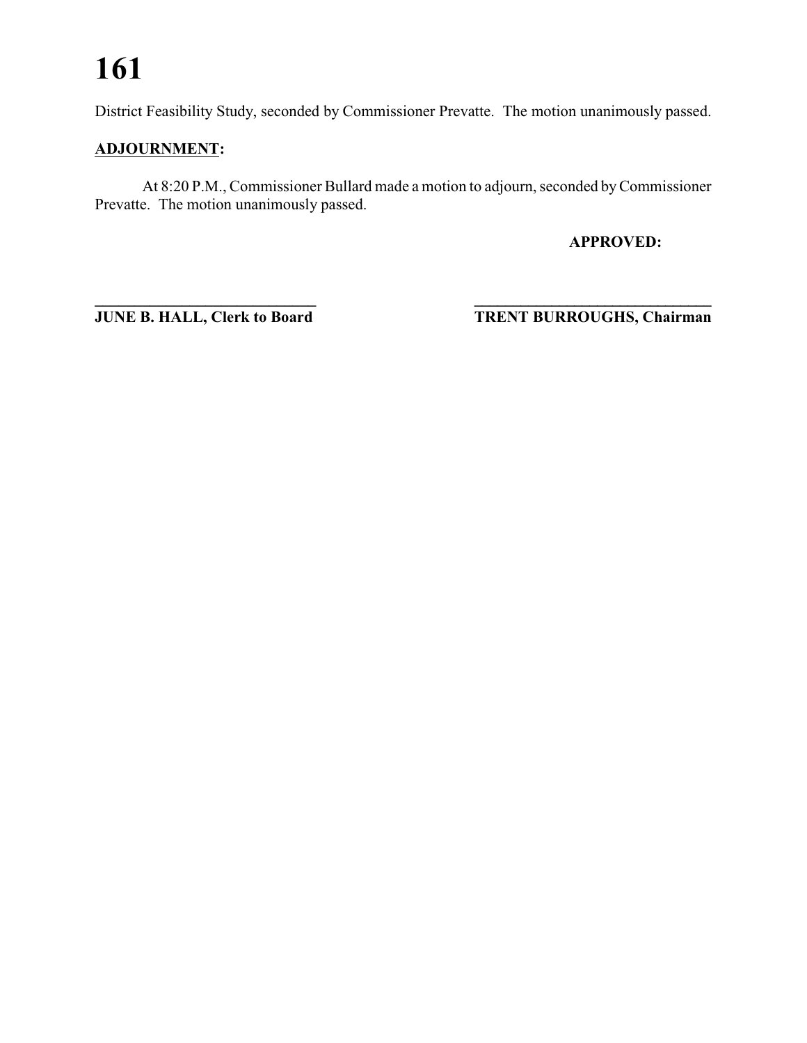# **161**

District Feasibility Study, seconded by Commissioner Prevatte. The motion unanimously passed.

# **ADJOURNMENT:**

At 8:20 P.M., Commissioner Bullard made a motion to adjourn, seconded by Commissioner Prevatte. The motion unanimously passed.

**APPROVED:**

**\_\_\_\_\_\_\_\_\_\_\_\_\_\_\_\_\_\_\_\_\_\_\_\_\_\_\_\_ \_\_\_\_\_\_\_\_\_\_\_\_\_\_\_\_\_\_\_\_\_\_\_\_\_\_\_\_\_\_\_ JUNE B. HALL, Clerk to Board TRENT BURROUGHS, Chairman**